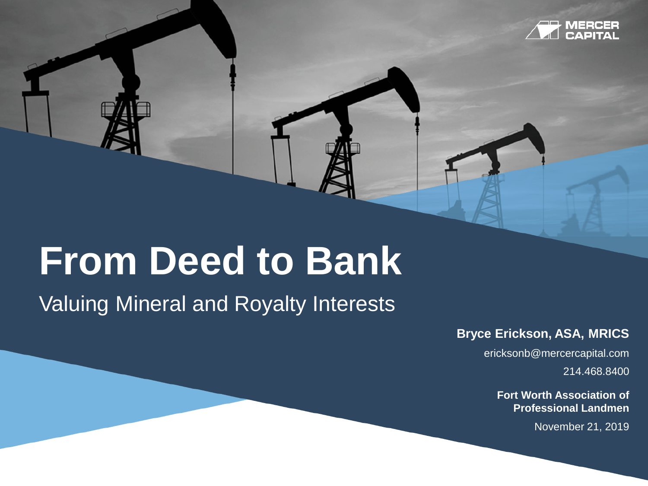

## **From Deed to Bank**

Valuing Mineral and Royalty Interests

**Bryce Erickson, ASA, MRICS**

ericksonb@mercercapital.com

214.468.8400

**Fort Worth Association of Professional Landmen**

November 21, 2019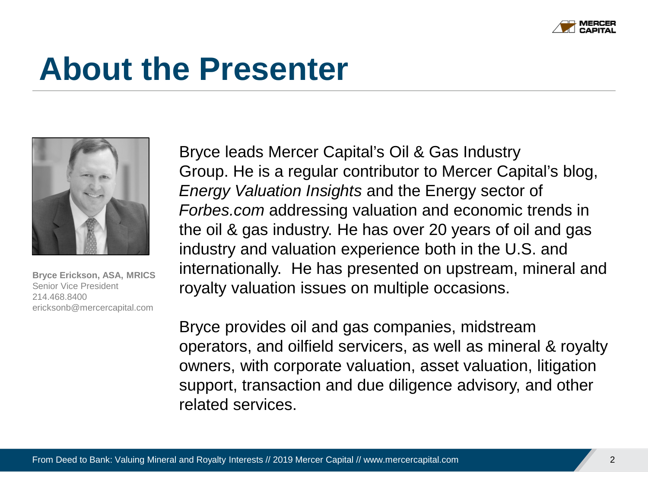

### **About the Presenter**



**Bryce Erickson, ASA, MRICS** Senior Vice President 214.468.8400 ericksonb@mercercapital.com

Bryce leads Mercer Capital's Oil & Gas Industry Group. He is a regular contributor to Mercer Capital's blog, *Energy Valuation Insights* and the Energy sector of *Forbes.com* addressing valuation and economic trends in the oil & gas industry. He has over 20 years of oil and gas industry and valuation experience both in the U.S. and internationally. He has presented on upstream, mineral and royalty valuation issues on multiple occasions.

Bryce provides oil and gas companies, midstream operators, and oilfield servicers, as well as mineral & royalty owners, with corporate valuation, asset valuation, litigation support, transaction and due diligence advisory, and other related services.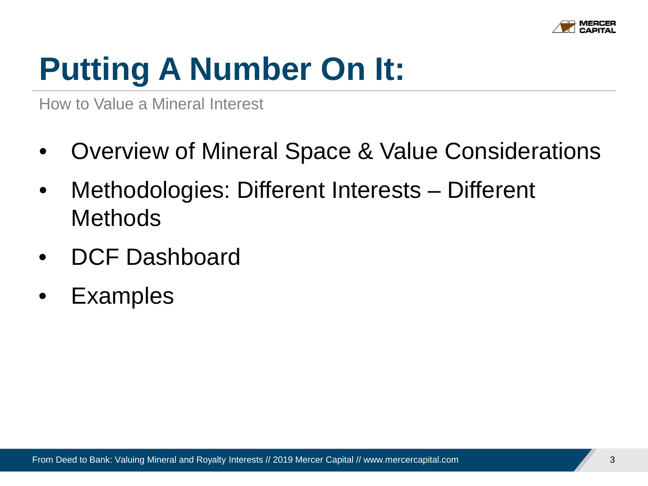

## **Putting A Number On It:**

How to Value a Mineral Interest

- Overview of Mineral Space & Value Considerations
- Methodologies: Different Interests Different **Methods**
- DCF Dashboard
- **Examples**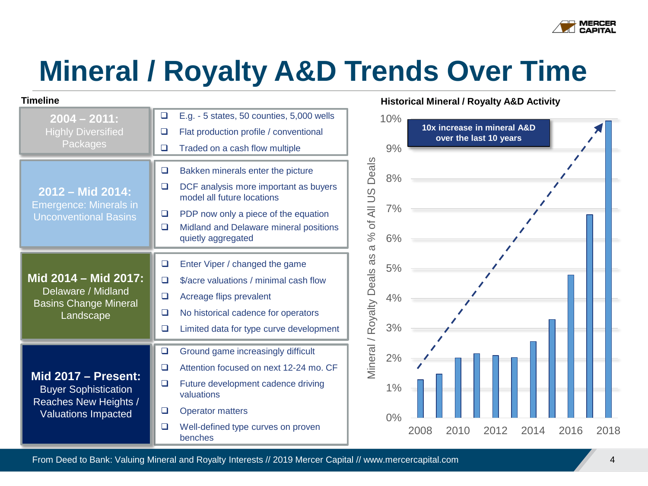

### **Mineral / Royalty A&D Trends Over Time**

| <b>Timeline</b>                                                                    |   |                                                                     |                                |
|------------------------------------------------------------------------------------|---|---------------------------------------------------------------------|--------------------------------|
| $2004 - 2011$ :                                                                    | ❏ | E.g. - 5 states, 50 counties, 5,000 wells                           |                                |
| <b>Highly Diversified</b><br>Packages                                              |   | Flat production profile / conventional                              |                                |
|                                                                                    |   | Traded on a cash flow multiple                                      |                                |
|                                                                                    | ❏ | Bakken minerals enter the picture                                   | Deals                          |
| 2012 - Mid 2014:                                                                   | ❏ | DCF analysis more important as buyers<br>model all future locations | of All US                      |
| <b>Emergence: Minerals in</b><br><b>Unconventional Basins</b>                      | ❏ | PDP now only a piece of the equation                                |                                |
|                                                                                    |   | Midland and Delaware mineral positions<br>quietly aggregated        | $\%$                           |
|                                                                                    |   |                                                                     | $\sigma$                       |
|                                                                                    | ❏ | Enter Viper / changed the game                                      | 8g                             |
| Mid 2014 - Mid 2017:                                                               | □ | \$/acre valuations / minimal cash flow                              |                                |
| Delaware / Midland<br><b>Basins Change Mineral</b>                                 | ❏ | Acreage flips prevalent                                             |                                |
| Landscape                                                                          | □ | No historical cadence for operators                                 |                                |
|                                                                                    | ❏ | Limited data for type curve development                             | <b>Mineral / Royalty Deals</b> |
|                                                                                    | ❏ | Ground game increasingly difficult                                  |                                |
|                                                                                    | □ | Attention focused on next 12-24 mo. CF                              |                                |
| <b>Mid 2017 - Present:</b><br><b>Buyer Sophistication</b><br>Reaches New Heights / | ❏ | Future development cadence driving<br>valuations                    |                                |
| <b>Valuations Impacted</b>                                                         | ❏ | <b>Operator matters</b>                                             |                                |
|                                                                                    |   | Well-defined type curves on proven<br>benches                       |                                |

#### **Historical Mineral / Royalty A&D Activity**



From Deed to Bank: Valuing Mineral and Royalty Interests // 2019 Mercer Capital // www.mercercapital.com 44 April 1997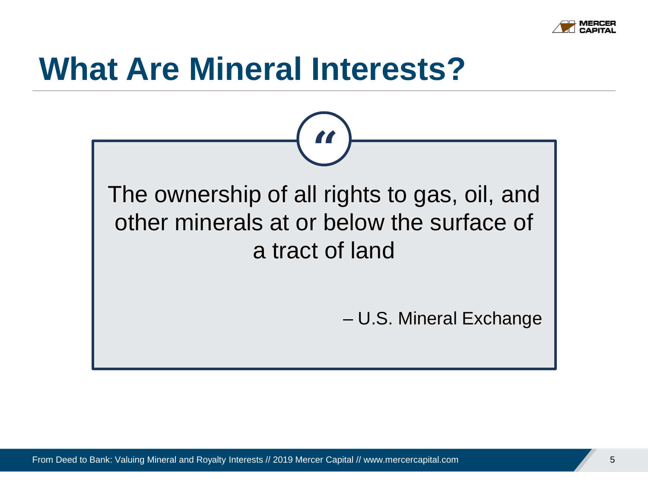

### **What Are Mineral Interests?**

**"** The ownership of all rights to gas, oil, and other minerals at or below the surface of a tract of land

– U.S. Mineral Exchange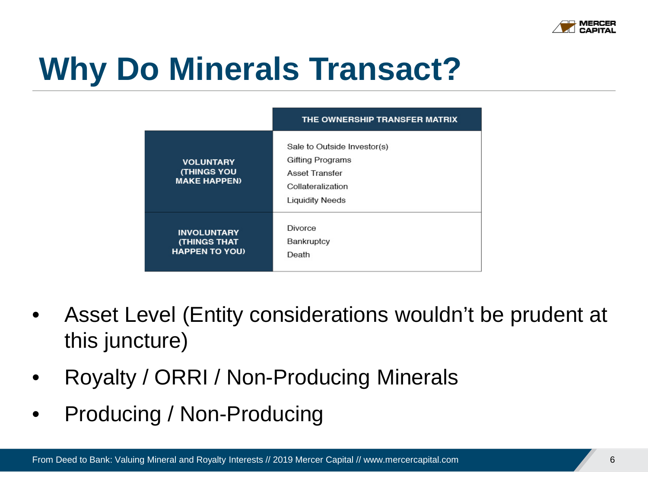

## **Why Do Minerals Transact?**

|                                                                    | THE OWNERSHIP TRANSFER MATRIX                                                                                    |
|--------------------------------------------------------------------|------------------------------------------------------------------------------------------------------------------|
| <b>VOLUNTARY</b><br><b>(THINGS YOU</b><br><b>MAKE HAPPEN)</b>      | Sale to Outside Investor(s)<br>Gifting Programs<br>Asset Transfer<br>Collateralization<br><b>Liquidity Needs</b> |
| <b>INVOLUNTARY</b><br><b>(THINGS THAT</b><br><b>HAPPEN TO YOU)</b> | <b>Divorce</b><br>Bankruptcy<br>Death                                                                            |

- Asset Level (Entity considerations wouldn't be prudent at this juncture)
- Royalty / ORRI / Non-Producing Minerals
- Producing / Non-Producing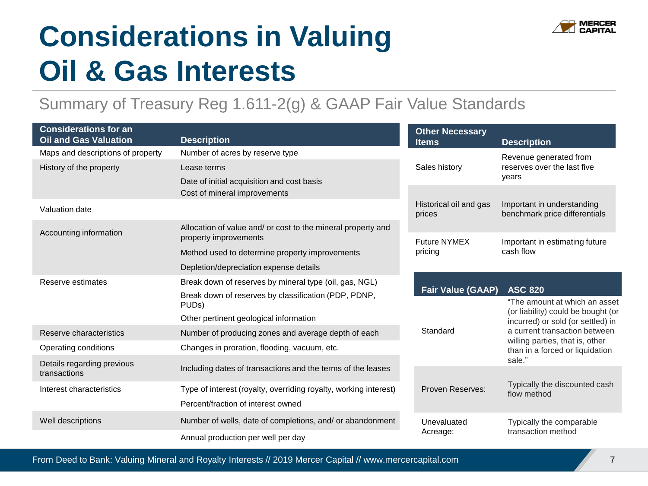

### **Considerations in Valuing Oil & Gas Interests**

### Summary of Treasury Reg 1.611-2(g) & GAAP Fair Value Standards

| <b>Considerations for an</b><br><b>Oil and Gas Valuation</b>                                 | <b>Description</b>                                                         | <b>Other Necessary</b><br><b>Items</b> | <b>Description</b>                                                      |  |
|----------------------------------------------------------------------------------------------|----------------------------------------------------------------------------|----------------------------------------|-------------------------------------------------------------------------|--|
| Maps and descriptions of property                                                            | Number of acres by reserve type                                            |                                        | Revenue generated from                                                  |  |
| History of the property                                                                      | Lease terms                                                                | Sales history                          | reserves over the last five                                             |  |
|                                                                                              | Date of initial acquisition and cost basis<br>Cost of mineral improvements |                                        | vears                                                                   |  |
| Valuation date                                                                               |                                                                            | Historical oil and gas<br>prices       | Important in understanding<br>benchmark price differentials             |  |
| Accounting information                                                                       | Allocation of value and/ or cost to the mineral property and               |                                        |                                                                         |  |
|                                                                                              | property improvements                                                      | <b>Future NYMEX</b>                    | Important in estimating future<br>cash flow                             |  |
|                                                                                              | Method used to determine property improvements                             | pricing                                |                                                                         |  |
|                                                                                              | Depletion/depreciation expense details                                     |                                        |                                                                         |  |
| Reserve estimates                                                                            | Break down of reserves by mineral type (oil, gas, NGL)                     |                                        |                                                                         |  |
|                                                                                              | Break down of reserves by classification (PDP, PDNP,                       | <b>Fair Value (GAAP)</b>               | <b>ASC 820</b><br>"The amount at which an asset                         |  |
|                                                                                              | PUD <sub>s</sub> )                                                         |                                        | (or liability) could be bought (or<br>incurred) or sold (or settled) in |  |
|                                                                                              | Other pertinent geological information                                     |                                        |                                                                         |  |
| Reserve characteristics                                                                      | Number of producing zones and average depth of each                        | Standard                               | a current transaction between<br>willing parties, that is, other        |  |
| Operating conditions                                                                         | Changes in proration, flooding, vacuum, etc.                               |                                        | than in a forced or liquidation                                         |  |
| Details regarding previous<br>transactions                                                   | Including dates of transactions and the terms of the leases                |                                        | sale."                                                                  |  |
| Type of interest (royalty, overriding royalty, working interest)<br>Interest characteristics |                                                                            | Proven Reserves:                       | Typically the discounted cash<br>flow method                            |  |
|                                                                                              | Percent/fraction of interest owned                                         |                                        |                                                                         |  |
| Well descriptions                                                                            | Number of wells, date of completions, and/ or abandonment                  | Unevaluated<br>Acreage:                | Typically the comparable                                                |  |
|                                                                                              | Annual production per well per day                                         |                                        | transaction method                                                      |  |

From Deed to Bank: Valuing Mineral and Royalty Interests // 2019 Mercer Capital // www.mercercapital.com 7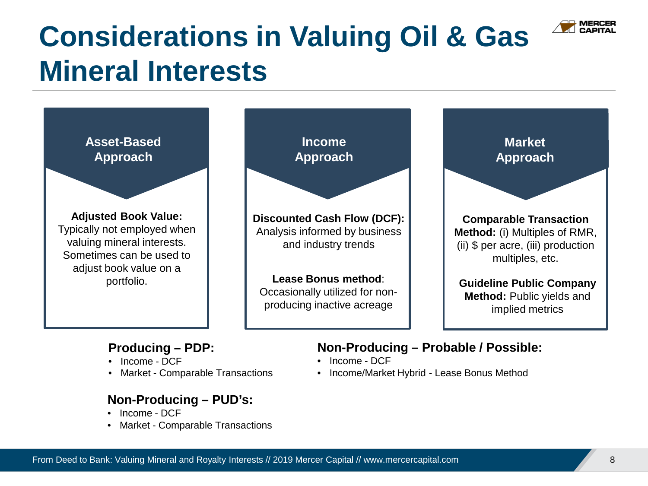

### **Considerations in Valuing Oil & Gas Mineral Interests**



#### **Non-Producing – PUD's:**

- Income DCF
- Market Comparable Transactions

• Income/Market Hybrid - Lease Bonus Method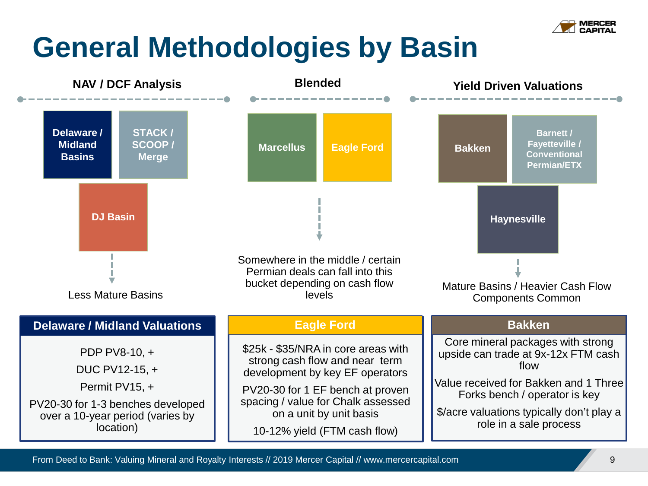

### **General Methodologies by Basin**

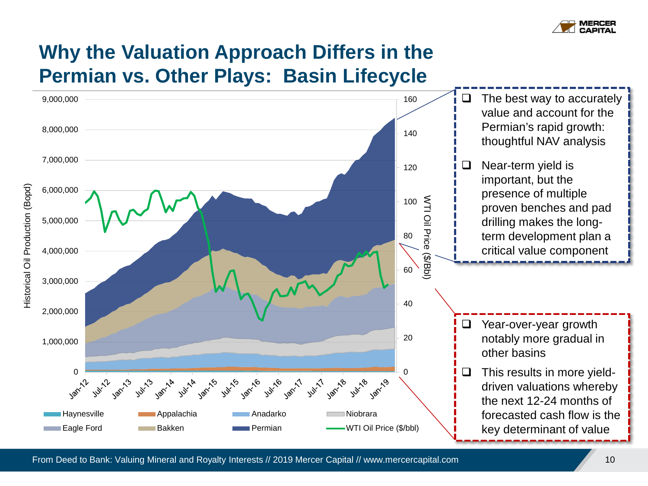

### **Why the Valuation Approach Differs in the Permian vs. Other Plays: Basin Lifecycle**



From Deed to Bank: Valuing Mineral and Royalty Interests // 2019 Mercer Capital // www.mercercapital.com 10 10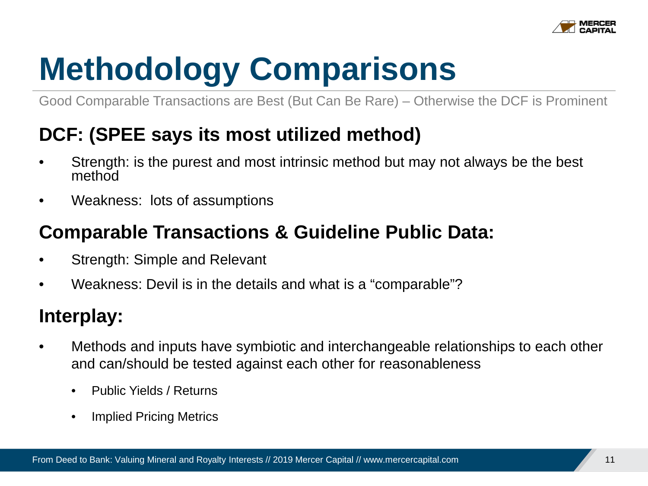

## **Methodology Comparisons**

Good Comparable Transactions are Best (But Can Be Rare) – Otherwise the DCF is Prominent

### **DCF: (SPEE says its most utilized method)**

- Strength: is the purest and most intrinsic method but may not always be the best method
- Weakness: lots of assumptions

### **Comparable Transactions & Guideline Public Data:**

- Strength: Simple and Relevant
- Weakness: Devil is in the details and what is a "comparable"?

### **Interplay:**

- Methods and inputs have symbiotic and interchangeable relationships to each other and can/should be tested against each other for reasonableness
	- Public Yields / Returns
	- Implied Pricing Metrics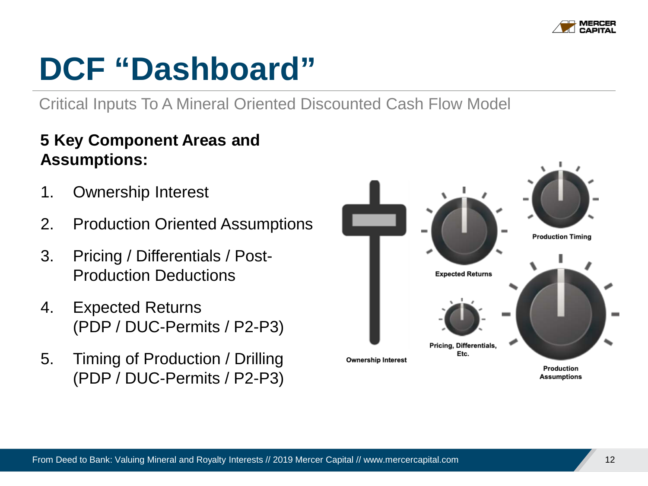

## **DCF "Dashboard"**

Critical Inputs To A Mineral Oriented Discounted Cash Flow Model

### **5 Key Component Areas and Assumptions:**

- 1. Ownership Interest
- 2. Production Oriented Assumptions
- 3. Pricing / Differentials / Post-Production Deductions
- 4. Expected Returns (PDP / DUC-Permits / P2-P3)
- 5. Timing of Production / Drilling (PDP / DUC-Permits / P2-P3)

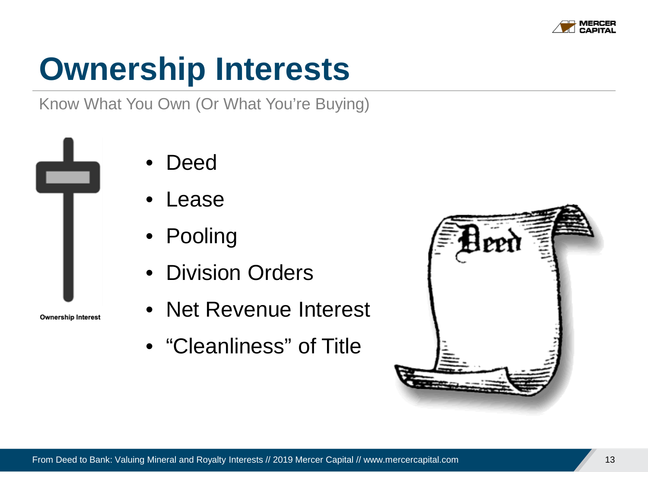

## **Ownership Interests**

Know What You Own (Or What You're Buying)



**Ownership Interest** 

- Deed
- Lease
- Pooling
- Division Orders
- Net Revenue Interest
- "Cleanliness" of Title

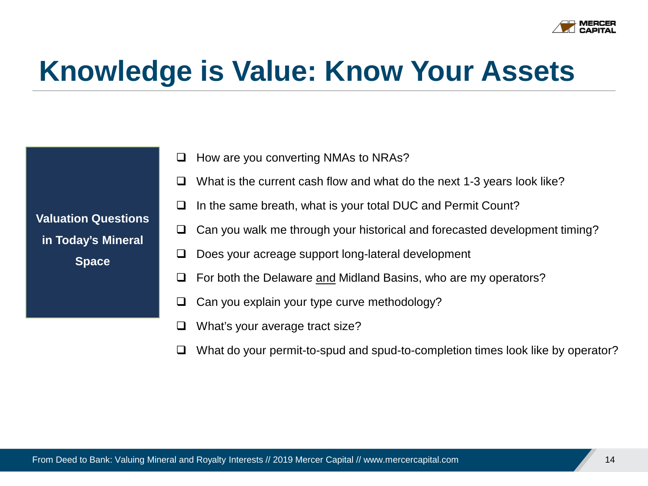

### **Knowledge is Value: Know Your Assets**

- $\Box$  How are you converting NMAs to NRAs?
- What is the current cash flow and what do the next 1-3 years look like?
- $\Box$  In the same breath, what is your total DUC and Permit Count?
- $\Box$  Can you walk me through your historical and forecasted development timing?
- $\Box$  Does your acreage support long-lateral development
- $\Box$  For both the Delaware and Midland Basins, who are my operators?
- $\Box$  Can you explain your type curve methodology?
- $\Box$  What's your average tract size?
- $\Box$  What do your permit-to-spud and spud-to-completion times look like by operator?

**Valuation Questions in Today's Mineral Space**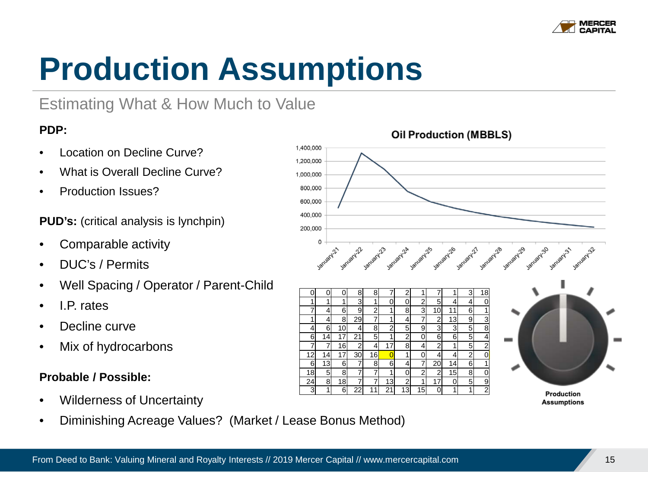

## **Production Assumptions**

### Estimating What & How Much to Value

#### **PDP:**

- Location on Decline Curve?
- What is Overall Decline Curve?
- Production Issues?

**PUD's:** (critical analysis is lynchpin)

- Comparable activity
- DUC's / Permits
- Well Spacing / Operator / Parent-Child
- $\bullet$  IP rates
- Decline curve
- Mix of hydrocarbons

#### **Probable / Possible:**

- Wilderness of Uncertainty
- Diminishing Acreage Values? (Market / Lease Bonus Method)



#### **Oil Production (MBBLS)**

From Deed to Bank: Valuing Mineral and Royalty Interests // 2019 Mercer Capital // www.mercercapital.com 15 15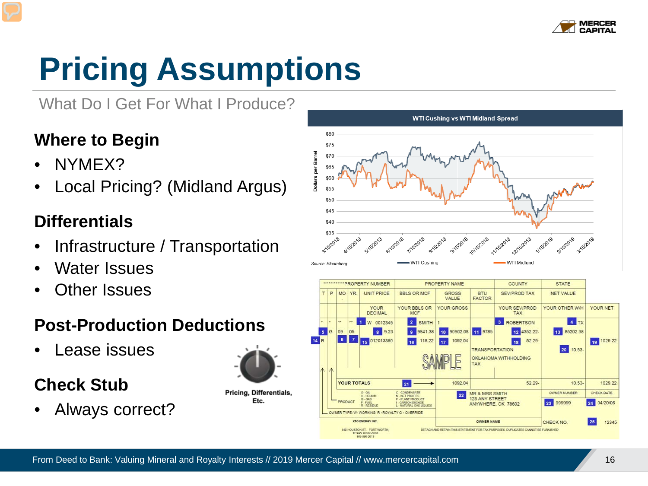

## **Pricing Assumptions**

What Do I Get For What I Produce?

### **Where to Begin**

- NYMEX?
- Local Pricing? (Midland Argus)

### **Differentials**

- Infrastructure / Transportation
- Water Issues
- **Other Issues**

### **Post-Production Deductions**

• Lease issues

### **Check Stub**

• Always correct?



**YOUR TOTALS** 

**RODUCT** 

 $O - OH$ 

 $2AD - C$ 

 $-$  FUEL

810 HOUSTON ST. - FORT WORTH

TEXAS 76102-829 866 896 2613

**HELIUM** 

OWNER TYPE: W- WORKING R - ROYALTY C - OVERRIDE **KTO ENERGY IN** 

21

- CONDENSATE

NET PROFITS



**TAX** 

**MR & MRS SMITH** 

123 ANY STREET

OWNER NAME

DETACH AND RETAIN THIS STATEMENT FOR TAX PURPOSES DUPLICATES CANNOT BE FURNISHED

ANYWHERE, OK 78602

52.29-

 $10.53-$ 

OWNER NUMBER

23 999999

CHECK NO

1092.04

 $22$ 

1029.22

CHECK DATE

24 04/20/06

 $25$ 12345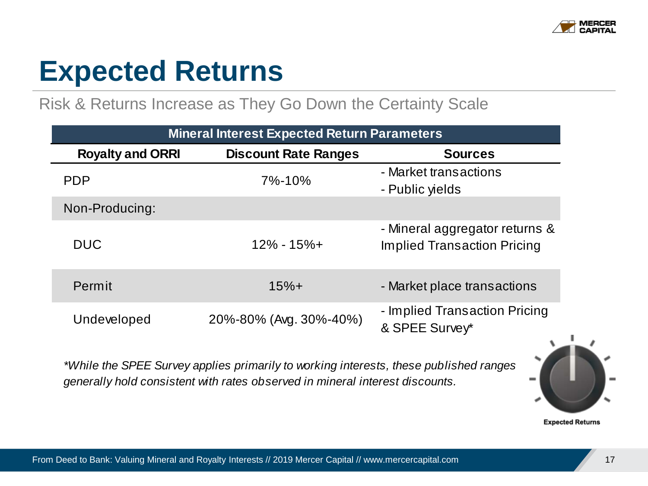

### **Expected Returns**

#### Risk & Returns Increase as They Go Down the Certainty Scale

| <b>Mineral Interest Expected Return Parameters</b> |                             |                                                                      |  |  |  |  |
|----------------------------------------------------|-----------------------------|----------------------------------------------------------------------|--|--|--|--|
| <b>Royalty and ORRI</b>                            | <b>Discount Rate Ranges</b> | <b>Sources</b>                                                       |  |  |  |  |
| <b>PDP</b>                                         | 7%-10%                      | - Market transactions<br>- Public yields                             |  |  |  |  |
| Non-Producing:                                     |                             |                                                                      |  |  |  |  |
| <b>DUC</b>                                         | $12\% - 15\% +$             | - Mineral aggregator returns &<br><b>Implied Transaction Pricing</b> |  |  |  |  |
| Permit                                             | $15% +$                     | - Market place transactions                                          |  |  |  |  |
| Undeveloped                                        | 20%-80% (Avg. 30%-40%)      | - Implied Transaction Pricing<br>& SPEE Survey*                      |  |  |  |  |

*\*While the SPEE Survey applies primarily to working interests, these published ranges generally hold consistent with rates observed in mineral interest discounts.*



#### **Expected Returns**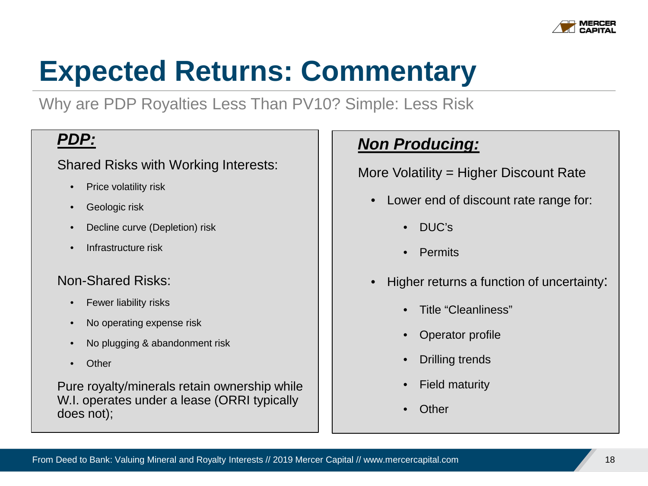

## **Expected Returns: Commentary**

Why are PDP Royalties Less Than PV10? Simple: Less Risk

#### *PDP:*

#### Shared Risks with Working Interests:

- Price volatility risk
- Geologic risk
- Decline curve (Depletion) risk
- Infrastructure risk

#### Non-Shared Risks:

- Fewer liability risks
- No operating expense risk
- No plugging & abandonment risk
- Other

Pure royalty/minerals retain ownership while W.I. operates under a lease (ORRI typically does not);

### *Non Producing:*

More Volatility = Higher Discount Rate

- Lower end of discount rate range for:
	- DUC's
	- Permits
- Higher returns a function of uncertainty:
	- Title "Cleanliness"
	- Operator profile
	- **Drilling trends**
	- **Field maturity**
	- Other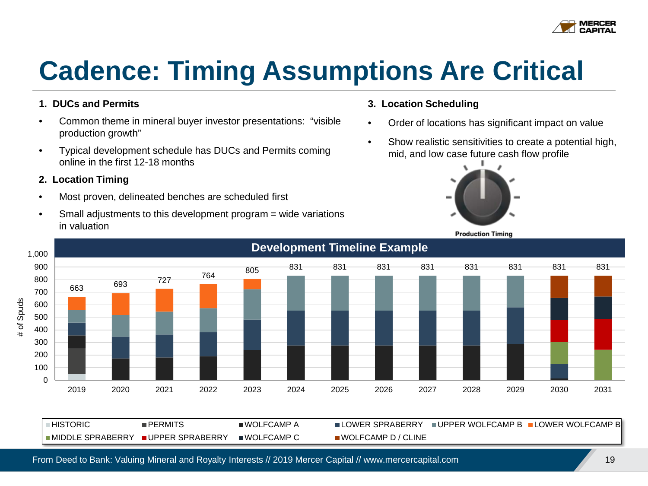

### **Cadence: Timing Assumptions Are Critical**

#### **1. DUCs and Permits**

- Common theme in mineral buyer investor presentations: "visible production growth"
- Typical development schedule has DUCs and Permits coming online in the first 12-18 months

#### **2. Location Timing**

- Most proven, delineated benches are scheduled first
- Small adjustments to this development program = wide variations in valuation

#### **3. Location Scheduling**

- Order of locations has significant impact on value
- Show realistic sensitivities to create a potential high, mid, and low case future cash flow profile



**Production Timing** 



 $\blacksquare$ HISTORIC  $\blacksquare$  PERMITS  $\blacksquare$  INOLFCAMP A  $\blacksquare$  LOWER SPRABERRY  $\blacksquare$  UPPER WOLFCAMP B  $\blacksquare$  LOWER WOLFCAMP B ■MIDDLE SPRABERRY ■UPPER SPRABERRY ■WOLFCAMP C ■ WOLFCAMP D / CLINE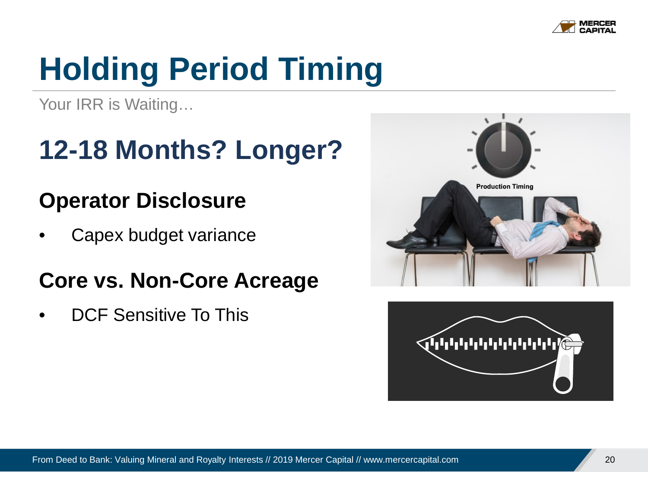

## **Holding Period Timing**

Your IRR is Waiting...

### **12-18 Months? Longer?**

### **Operator Disclosure**

• Capex budget variance

### **Core vs. Non-Core Acreage**

• DCF Sensitive To This



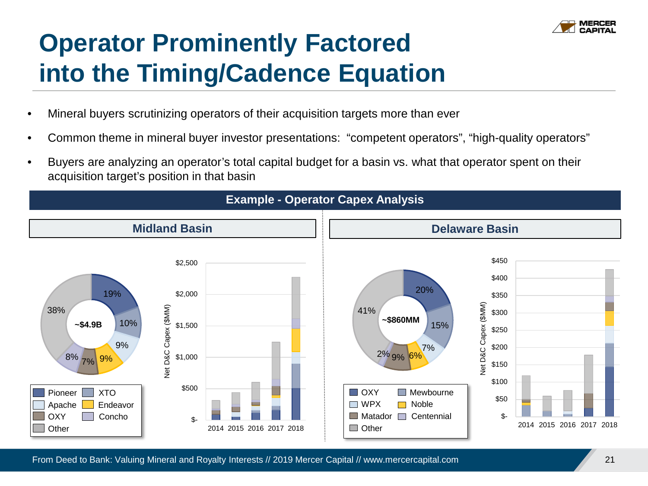

### **Operator Prominently Factored into the Timing/Cadence Equation**

- Mineral buyers scrutinizing operators of their acquisition targets more than ever
- Common theme in mineral buyer investor presentations: "competent operators", "high-quality operators"
- Buyers are analyzing an operator's total capital budget for a basin vs. what that operator spent on their acquisition target's position in that basin

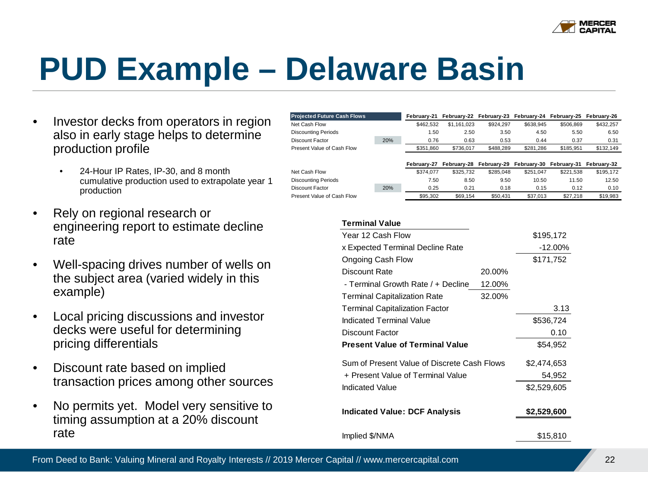

## **PUD Example – Delaware Basin**

- Investor decks from operators in region also in early stage helps to determine production profile
	- 24-Hour IP Rates, IP-30, and 8 month cumulative production used to extrapolate year 1 production
- Rely on regional research or engineering report to estimate decline rate
- Well-spacing drives number of wells on the subject area (varied widely in this example)
- Local pricing discussions and investor decks were useful for determining pricing differentials
- Discount rate based on implied transaction prices among other sources
- No permits yet. Model very sensitive to timing assumption at a 20% discount rate

| <b>Projected Future Cash Flows</b> |     | Februarv-21 | February-22 February-23 February-24 February-25 February-26 |           |           |           |           |
|------------------------------------|-----|-------------|-------------------------------------------------------------|-----------|-----------|-----------|-----------|
| Net Cash Flow                      |     | \$462.532   | \$1.161.023                                                 | \$924.297 | \$638.945 | \$506.869 | \$432.257 |
| <b>Discounting Periods</b>         |     | 1.50        | 2.50                                                        | 3.50      | 4.50      | 5.50      | 6.50      |
| Discount Factor                    | 20% | 0.76        | 0.63                                                        | 0.53      | 0.44      | 0.37      | 0.31      |
| Present Value of Cash Flow         |     | \$351.860   | \$736.017                                                   | \$488,289 | \$281.286 | \$185.951 | \$132.149 |
|                                    |     |             |                                                             |           |           |           |           |

|                            |     | February-27 |           |           |           | February-28 February-29 February-30 February-31 February-32 |           |
|----------------------------|-----|-------------|-----------|-----------|-----------|-------------------------------------------------------------|-----------|
| Net Cash Flow              |     | \$374.077   | \$325.732 | \$285.048 | \$251.047 | \$221.538                                                   | \$195.172 |
| <b>Discounting Periods</b> |     | 7.50        | 8.50      | 9.50      | 10.50     | 11.50                                                       | 12.50     |
| Discount Factor            | 20% | 0.25        | 0.21      | 0.18      | 0.15      | 0.12                                                        | 0.10      |
| Present Value of Cash Flow |     | \$95,302    | \$69.154  | \$50,431  | \$37.013  | \$27,218                                                    | \$19.983  |

#### **Terminal Value**

| Year 12 Cash Flow                           |             | \$195,172   |
|---------------------------------------------|-------------|-------------|
| x Expected Terminal Decline Rate            |             | $-12.00\%$  |
| Ongoing Cash Flow                           |             | \$171,752   |
| Discount Rate                               | 20.00%      |             |
| - Terminal Growth Rate / + Decline          | 12.00%      |             |
| <b>Terminal Capitalization Rate</b>         | 32.00%      |             |
| <b>Terminal Capitalization Factor</b>       |             | 3.13        |
| Indicated Terminal Value                    |             | \$536,724   |
| Discount Factor                             | 0.10        |             |
| <b>Present Value of Terminal Value</b>      | \$54,952    |             |
| Sum of Present Value of Discrete Cash Flows |             | \$2,474,653 |
| + Present Value of Terminal Value           |             | 54,952      |
| Indicated Value                             |             | \$2,529,605 |
| <b>Indicated Value: DCF Analysis</b>        | \$2,529,600 |             |
| Implied \$/NMA                              |             | \$15,810    |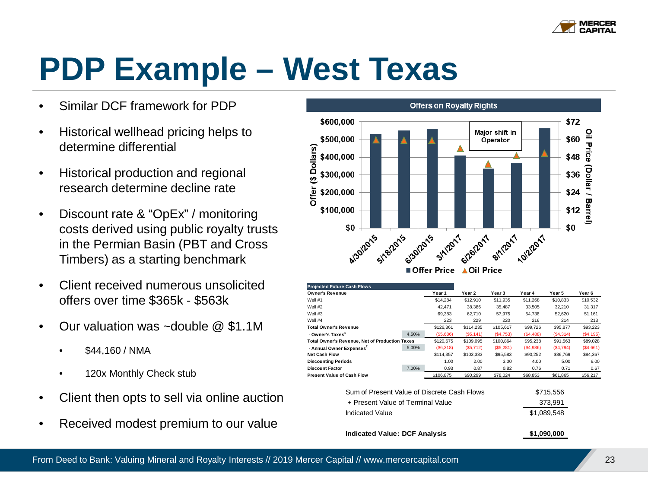

## **PDP Example – West Texas**

- Similar DCF framework for PDP
- Historical wellhead pricing helps to determine differential
- Historical production and regional research determine decline rate
- Discount rate & "OpEx" / monitoring costs derived using public royalty trusts in the Permian Basin (PBT and Cross Timbers) as a starting benchmark
- Client received numerous unsolicited offers over time \$365k - \$563k
- Our valuation was ~double @ \$1.1M
	- \$44,160 / NMA
	- 120x Monthly Check stub
- Client then opts to sell via online auction
- Received modest premium to our value



| <b>Projected Future Cash Flows</b>                    |       |           |                   |             |           |             |                   |
|-------------------------------------------------------|-------|-----------|-------------------|-------------|-----------|-------------|-------------------|
| <b>Owner's Revenue</b>                                |       | Year 1    | Year <sub>2</sub> | Year 3      | Year 4    | Year 5      | Year <sub>6</sub> |
| Well #1                                               |       | \$14,284  | \$12,910          | \$11,935    | \$11,268  | \$10,833    | \$10,532          |
| Well #2                                               |       | 42.471    | 38.386            | 35.487      | 33.505    | 32.210      | 31,317            |
| Well #3                                               |       | 69,383    | 62.710            | 57.975      | 54.736    | 52,620      | 51,161            |
| Well #4                                               |       | 223       | 229               | 220         | 216       | 214         | 213               |
| <b>Total Owner's Revenue</b>                          |       | \$126,361 | \$114,235         | \$105,617   | \$99,726  | \$95,877    | \$93,223          |
| - Owner's Taxes <sup>1</sup>                          | 4.50% | (\$5,686) | (S5, 141)         | (S4, 753)   | (S4, 488) | (S4,314)    | ( \$4,195)        |
| <b>Total Owner's Revenue, Net of Production Taxes</b> |       | \$120,675 | \$109,095         | \$100,864   | \$95,238  | \$91,563    | \$89,028          |
| - Annual Owner Expenses <sup>2</sup>                  | 5.00% | (S6,318)  | (\$5,712)         | (\$5,281)   | (\$4,986) | (S4,794)    | (\$4,661)         |
| <b>Net Cash Flow</b>                                  |       | \$114,357 | \$103,383         | \$95,583    | \$90,252  | \$86,769    | \$84,367          |
| <b>Discounting Periods</b>                            |       | 1.00      | 2.00              | 3.00        | 4.00      | 5.00        | 6.00              |
| <b>Discount Factor</b>                                | 7.00% | 0.93      | 0.87              | 0.82        | 0.76      | 0.71        | 0.67              |
| <b>Present Value of Cash Flow</b>                     |       | \$106,875 | \$90,299          | \$78,024    | \$68,853  | \$61,865    | \$56,217          |
|                                                       |       |           |                   |             |           |             |                   |
| Sum of Present Value of Discrete Cash Flows           |       |           |                   |             |           | \$715,556   |                   |
| + Present Value of Terminal Value                     |       |           |                   |             |           | 373,991     |                   |
| <b>Indicated Value</b>                                |       |           |                   | \$1,089,548 |           |             |                   |
| <b>Indicated Value: DCF Analysis</b>                  |       |           |                   |             |           | \$1,090,000 |                   |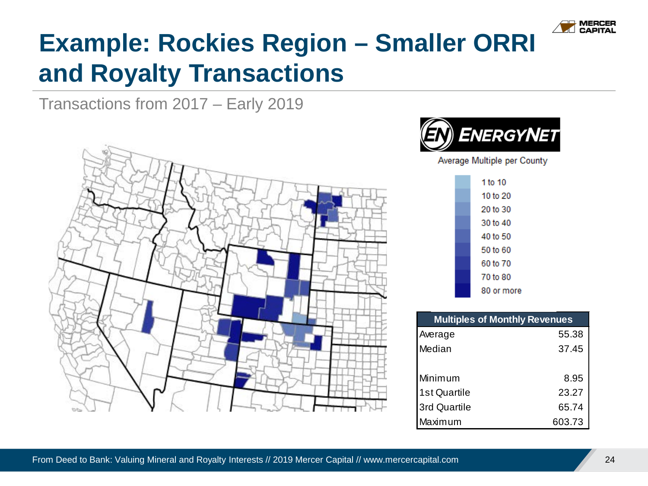

### **Example: Rockies Region – Smaller ORRI and Royalty Transactions**

Transactions from 2017 – Early 2019





| <b>Multiples of Monthly Revenues</b> |        |  |  |  |
|--------------------------------------|--------|--|--|--|
| Average                              | 55.38  |  |  |  |
| Median                               | 37.45  |  |  |  |
| Minimum                              | 8.95   |  |  |  |
| 1st Quartile                         | 23.27  |  |  |  |
| 3rd Quartile                         | 65.74  |  |  |  |
| Maximum                              | 603.73 |  |  |  |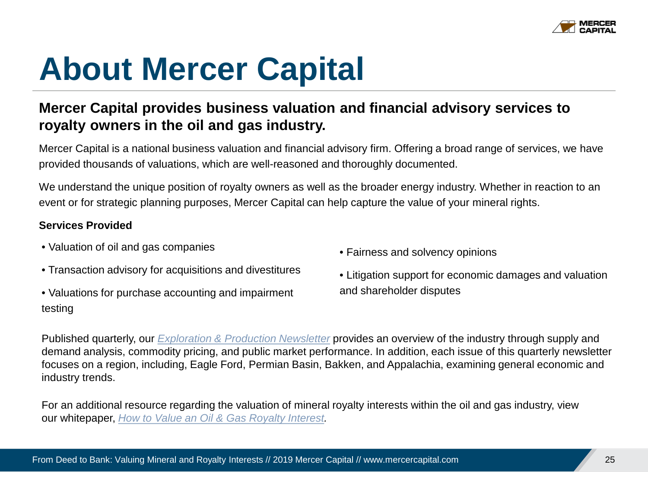

## **About Mercer Capital**

#### **Mercer Capital provides business valuation and financial advisory services to royalty owners in the oil and gas industry.**

Mercer Capital is a national business valuation and financial advisory firm. Offering a broad range of services, we have provided thousands of valuations, which are well-reasoned and thoroughly documented.

We understand the unique position of royalty owners as well as the broader energy industry. Whether in reaction to an event or for strategic planning purposes, Mercer Capital can help capture the value of your mineral rights.

#### **Services Provided**

- Valuation of oil and gas companies
- Transaction advisory for acquisitions and divestitures
- Valuations for purchase accounting and impairment testing
- Fairness and solvency opinions
- Litigation support for economic damages and valuation and shareholder disputes

Published quarterly, our *[Exploration & Production Newsletter](https://mercercapital.com/insights/newsletters/value-focus-industry-publications/energy-industry-newsletter/)* provides an overview of the industry through supply and demand analysis, commodity pricing, and public market performance. In addition, each issue of this quarterly newsletter focuses on a region, including, Eagle Ford, Permian Basin, Bakken, and Appalachia, examining general economic and industry trends.

For an additional resource regarding the valuation of mineral royalty interests within the oil and gas industry, view our whitepaper, *[How to Value an Oil & Gas Royalty Interest.](https://mercercapital.com/assets/Mercer-Capital_How-to-Value-a-Royalty-Interest.pdf)*